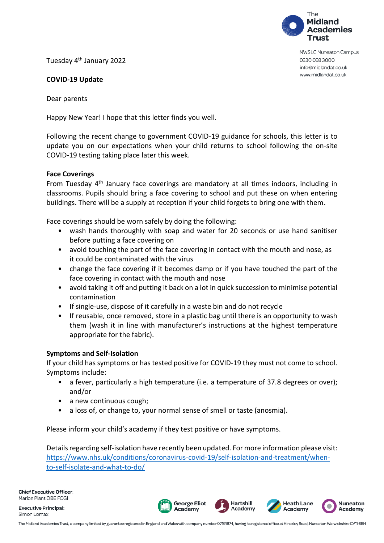

**NWSLC Nuneaton Campus** 0330 058 3000 info@midlandat.co.uk www.midlandat.co.uk

Tuesday 4th January 2022

# **COVID-19 Update**

Dear parents

Happy New Year! I hope that this letter finds you well.

Following the recent change to government COVID-19 guidance for schools, this letter is to update you on our expectations when your child returns to school following the on-site COVID-19 testing taking place later this week.

## **Face Coverings**

From Tuesday 4<sup>th</sup> January face coverings are mandatory at all times indoors, including in classrooms. Pupils should bring a face covering to school and put these on when entering buildings. There will be a supply at reception if your child forgets to bring one with them.

Face coverings should be worn safely by doing the following:

- wash hands thoroughly with soap and water for 20 seconds or use hand sanitiser before putting a face covering on
- avoid touching the part of the face covering in contact with the mouth and nose, as it could be contaminated with the virus
- change the face covering if it becomes damp or if you have touched the part of the face covering in contact with the mouth and nose
- avoid taking it off and putting it back on a lot in quick succession to minimise potential contamination
- If single-use, dispose of it carefully in a waste bin and do not recycle
- If reusable, once removed, store in a plastic bag until there is an opportunity to wash them (wash it in line with manufacturer's instructions at the highest temperature appropriate for the fabric).

## **Symptoms and Self-Isolation**

If your child has symptoms or has tested positive for COVID-19 they must not come to school. Symptoms include:

- a fever, particularly a high temperature (i.e. a temperature of 37.8 degrees or over); and/or
- a new continuous cough:
- a loss of, or change to, your normal sense of smell or taste (anosmia).

Please inform your child's academy if they test positive or have symptoms.

Details regarding self-isolation have recently been updated. For more information please visit: [https://www.nhs.uk/conditions/coronavirus-covid-19/self-isolation-and-treatment/when](https://www.nhs.uk/conditions/coronavirus-covid-19/self-isolation-and-treatment/when-to-self-isolate-and-what-to-do/)[to-self-isolate-and-what-to-do/](https://www.nhs.uk/conditions/coronavirus-covid-19/self-isolation-and-treatment/when-to-self-isolate-and-what-to-do/)



**Hartshill** 

Academy

**Heath Lane** 

Academy

Nuneaton

Academy

**George Eliot** 

Academy